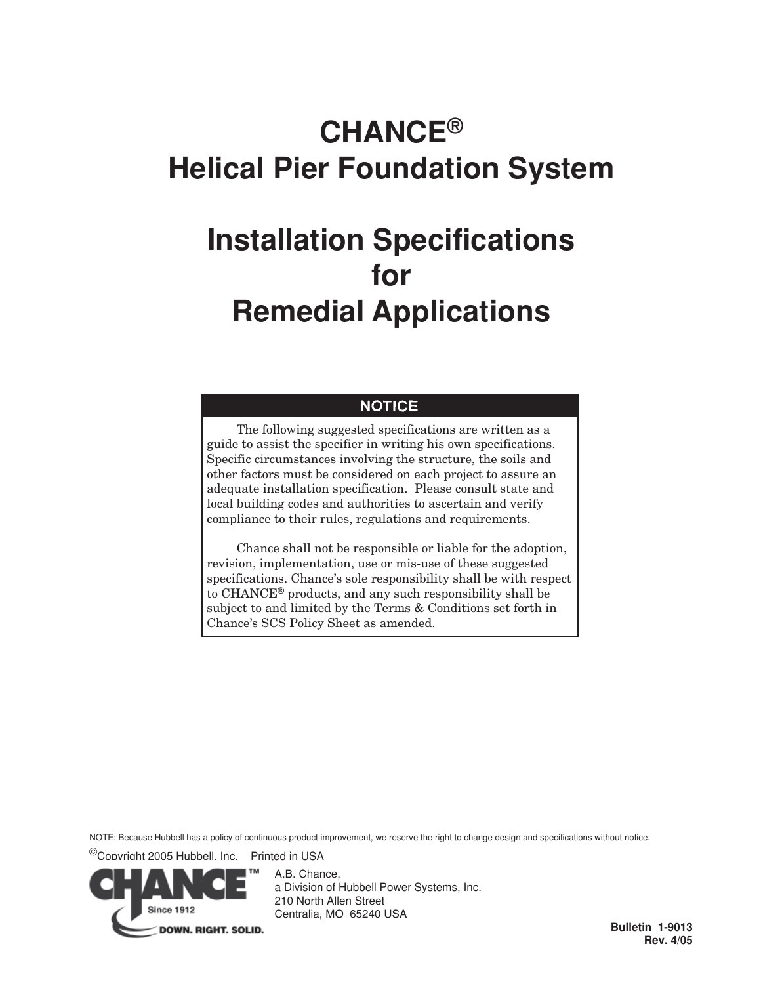# **CHANCE® Helical Pier Foundation System**

# **Installation Specifications for Remedial Applications**

# **NOTICE**

The following suggested specifications are written as a guide to assist the specifier in writing his own specifications. Specific circumstances involving the structure, the soils and other factors must be considered on each project to assure an adequate installation specification. Please consult state and local building codes and authorities to ascertain and verify compliance to their rules, regulations and requirements.

Chance shall not be responsible or liable for the adoption, revision, implementation, use or mis-use of these suggested specifications. Chance's sole responsibility shall be with respect to CHANCE® products, and any such responsibility shall be subject to and limited by the Terms & Conditions set forth in Chance's SCS Policy Sheet as amended.

NOTE: Because Hubbell has a policy of continuous product improvement, we reserve the right to change design and specifications without notice.

©Copyright 2005 Hubbell, Inc. Printed in USA



A.B. Chance, a Division of Hubbell Power Systems, Inc. 210 North Allen Street Centralia, MO 65240 USA

**Bulletin 1-9013 Rev. 4/05**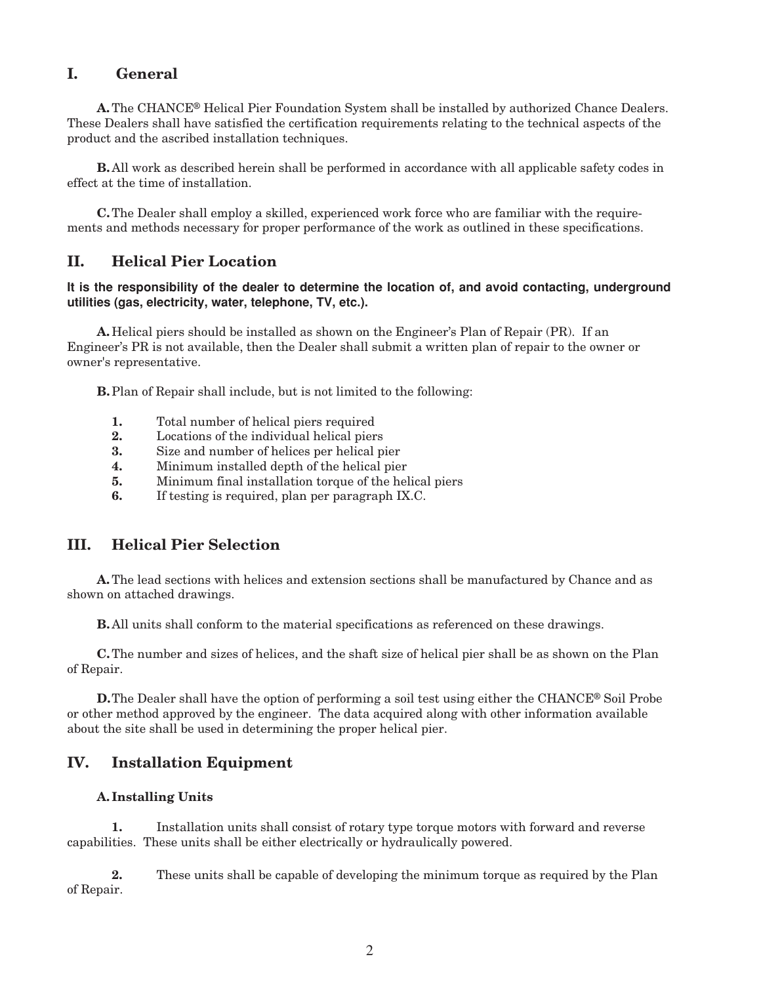# **I. General**

**A.**The CHANCE® Helical Pier Foundation System shall be installed by authorized Chance Dealers. These Dealers shall have satisfied the certification requirements relating to the technical aspects of the product and the ascribed installation techniques.

**B.** All work as described herein shall be performed in accordance with all applicable safety codes in effect at the time of installation.

**C.**The Dealer shall employ a skilled, experienced work force who are familiar with the requirements and methods necessary for proper performance of the work as outlined in these specifications.

# **II. Helical Pier Location**

#### **It is the responsibility of the dealer to determine the location of, and avoid contacting, underground utilities (gas, electricity, water, telephone, TV, etc.).**

**A.** Helical piers should be installed as shown on the Engineer's Plan of Repair (PR). If an Engineer's PR is not available, then the Dealer shall submit a written plan of repair to the owner or owner's representative.

**B.**Plan of Repair shall include, but is not limited to the following:

- **1.** Total number of helical piers required
- **2.** Locations of the individual helical piers
- **3.** Size and number of helices per helical pier
- **4.** Minimum installed depth of the helical pier
- **5.** Minimum final installation torque of the helical piers
- **6.** If testing is required, plan per paragraph IX.C.

#### **III. Helical Pier Selection**

**A.**The lead sections with helices and extension sections shall be manufactured by Chance and as shown on attached drawings.

**B.** All units shall conform to the material specifications as referenced on these drawings.

**C.**The number and sizes of helices, and the shaft size of helical pier shall be as shown on the Plan of Repair.

**D.**The Dealer shall have the option of performing a soil test using either the CHANCE® Soil Probe or other method approved by the engineer. The data acquired along with other information available about the site shall be used in determining the proper helical pier.

# **IV. Installation Equipment**

#### **A. Installing Units**

**1.** Installation units shall consist of rotary type torque motors with forward and reverse capabilities. These units shall be either electrically or hydraulically powered.

**2.** These units shall be capable of developing the minimum torque as required by the Plan of Repair.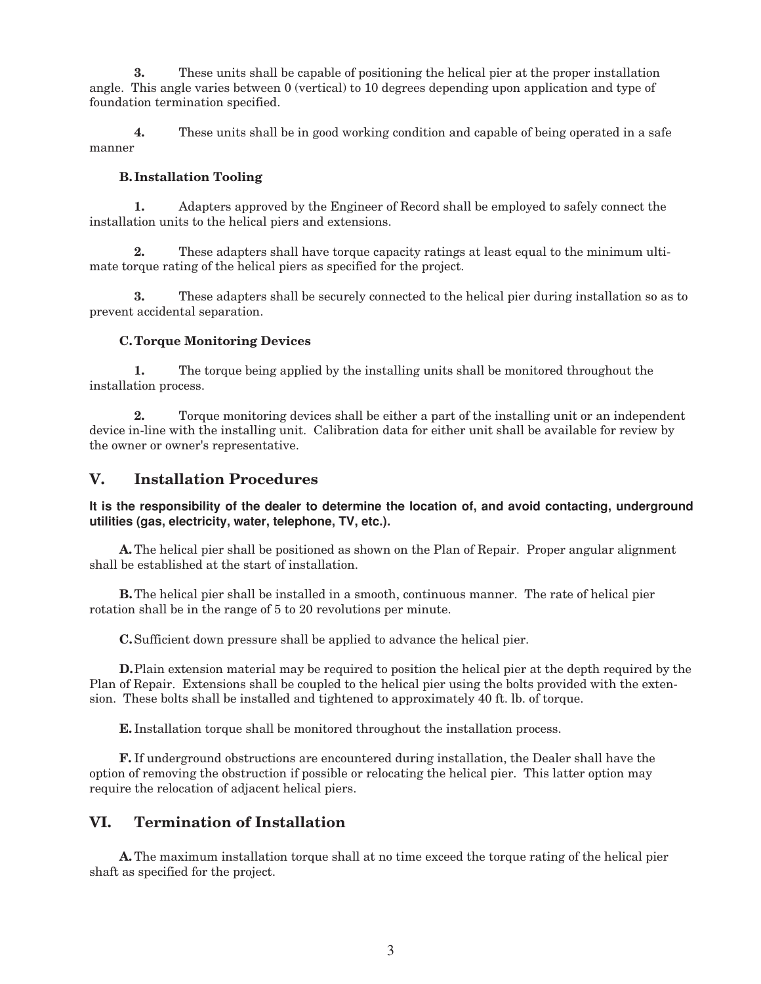**3.** These units shall be capable of positioning the helical pier at the proper installation angle. This angle varies between 0 (vertical) to 10 degrees depending upon application and type of foundation termination specified.

**4.** These units shall be in good working condition and capable of being operated in a safe manner

#### **B. Installation Tooling**

**1.** Adapters approved by the Engineer of Record shall be employed to safely connect the installation units to the helical piers and extensions.

**2.** These adapters shall have torque capacity ratings at least equal to the minimum ultimate torque rating of the helical piers as specified for the project.

**3.** These adapters shall be securely connected to the helical pier during installation so as to prevent accidental separation.

#### **C. Torque Monitoring Devices**

**1.** The torque being applied by the installing units shall be monitored throughout the installation process.

**2.** Torque monitoring devices shall be either a part of the installing unit or an independent device in-line with the installing unit. Calibration data for either unit shall be available for review by the owner or owner's representative.

# **V. Installation Procedures**

**It is the responsibility of the dealer to determine the location of, and avoid contacting, underground utilities (gas, electricity, water, telephone, TV, etc.).**

**A.**The helical pier shall be positioned as shown on the Plan of Repair. Proper angular alignment shall be established at the start of installation.

**B.**The helical pier shall be installed in a smooth, continuous manner. The rate of helical pier rotation shall be in the range of 5 to 20 revolutions per minute.

**C.**Sufficient down pressure shall be applied to advance the helical pier.

**D.**Plain extension material may be required to position the helical pier at the depth required by the Plan of Repair. Extensions shall be coupled to the helical pier using the bolts provided with the extension. These bolts shall be installed and tightened to approximately 40 ft. lb. of torque.

**E.** Installation torque shall be monitored throughout the installation process.

**F.** If underground obstructions are encountered during installation, the Dealer shall have the option of removing the obstruction if possible or relocating the helical pier. This latter option may require the relocation of adjacent helical piers.

# **VI. Termination of Installation**

**A.**The maximum installation torque shall at no time exceed the torque rating of the helical pier shaft as specified for the project.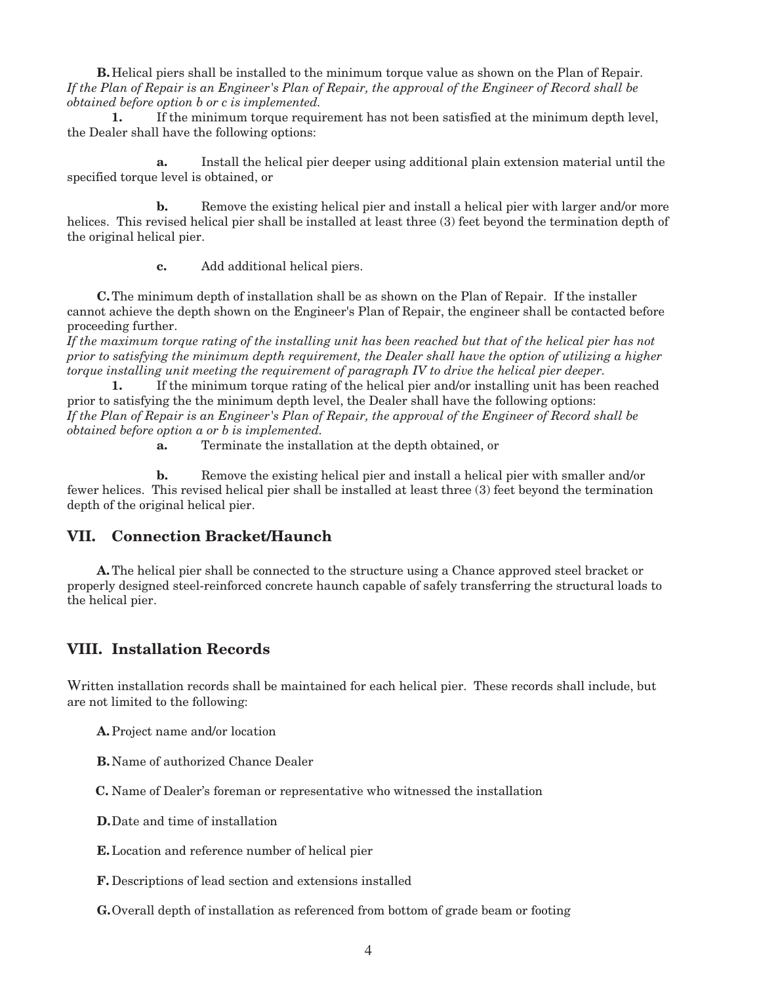**B.** Helical piers shall be installed to the minimum torque value as shown on the Plan of Repair. *If the Plan of Repair is an Engineer's Plan of Repair, the approval of the Engineer of Record shall be obtained before option b or c is implemented.*

**1.** If the minimum torque requirement has not been satisfied at the minimum depth level, the Dealer shall have the following options:

**a.** Install the helical pier deeper using additional plain extension material until the specified torque level is obtained, or

**b.** Remove the existing helical pier and install a helical pier with larger and/or more helices. This revised helical pier shall be installed at least three (3) feet beyond the termination depth of the original helical pier.

**c.** Add additional helical piers.

**C.**The minimum depth of installation shall be as shown on the Plan of Repair. If the installer cannot achieve the depth shown on the Engineer's Plan of Repair, the engineer shall be contacted before proceeding further.

*If the maximum torque rating of the installing unit has been reached but that of the helical pier has not prior to satisfying the minimum depth requirement, the Dealer shall have the option of utilizing a higher torque installing unit meeting the requirement of paragraph IV to drive the helical pier deeper.*

**1.** If the minimum torque rating of the helical pier and/or installing unit has been reached prior to satisfying the the minimum depth level, the Dealer shall have the following options: *If the Plan of Repair is an Engineer's Plan of Repair, the approval of the Engineer of Record shall be obtained before option a or b is implemented.*

**a.** Terminate the installation at the depth obtained, or

**b.** Remove the existing helical pier and install a helical pier with smaller and/or fewer helices. This revised helical pier shall be installed at least three (3) feet beyond the termination depth of the original helical pier.

#### **VII. Connection Bracket/Haunch**

**A.**The helical pier shall be connected to the structure using a Chance approved steel bracket or properly designed steel-reinforced concrete haunch capable of safely transferring the structural loads to the helical pier.

#### **VIII. Installation Records**

Written installation records shall be maintained for each helical pier. These records shall include, but are not limited to the following:

**A.**Project name and/or location

**B.** Name of authorized Chance Dealer

 **C.** Name of Dealer's foreman or representative who witnessed the installation

**D.**Date and time of installation

**E.**Location and reference number of helical pier

**F.** Descriptions of lead section and extensions installed

**G.**Overall depth of installation as referenced from bottom of grade beam or footing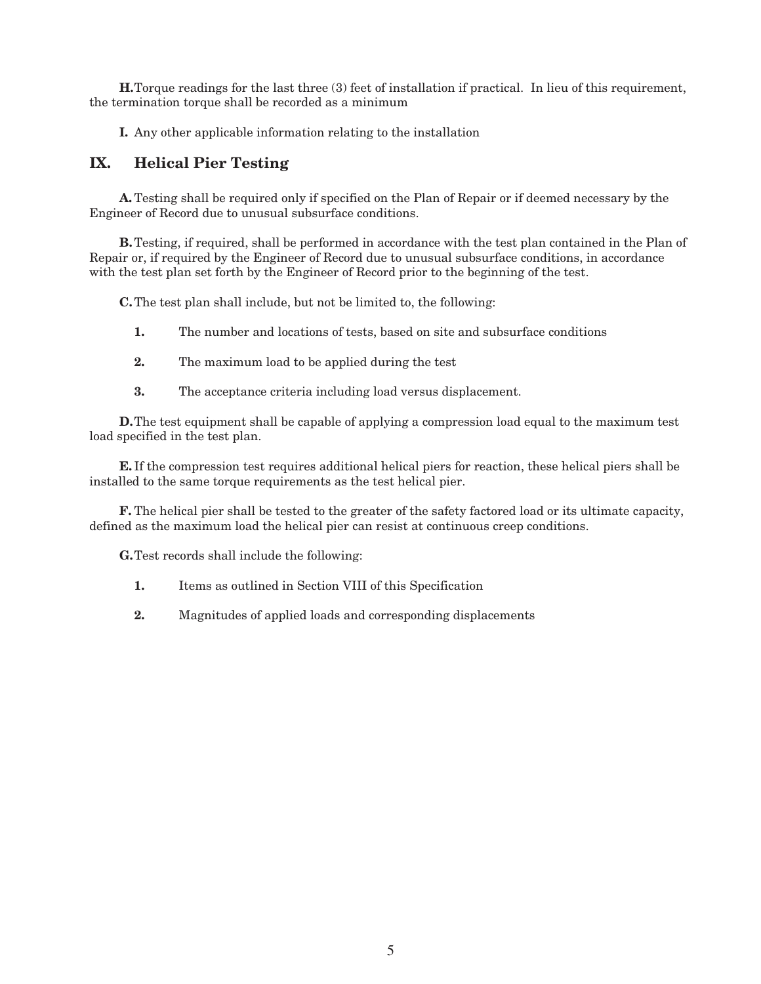**H.**Torque readings for the last three (3) feet of installation if practical. In lieu of this requirement, the termination torque shall be recorded as a minimum

**I.** Any other applicable information relating to the installation

# **IX. Helical Pier Testing**

**A.**Testing shall be required only if specified on the Plan of Repair or if deemed necessary by the Engineer of Record due to unusual subsurface conditions.

**B.**Testing, if required, shall be performed in accordance with the test plan contained in the Plan of Repair or, if required by the Engineer of Record due to unusual subsurface conditions, in accordance with the test plan set forth by the Engineer of Record prior to the beginning of the test.

**C.**The test plan shall include, but not be limited to, the following:

- **1.** The number and locations of tests, based on site and subsurface conditions
- **2.** The maximum load to be applied during the test
- **3.** The acceptance criteria including load versus displacement.

**D.**The test equipment shall be capable of applying a compression load equal to the maximum test load specified in the test plan.

**E.** If the compression test requires additional helical piers for reaction, these helical piers shall be installed to the same torque requirements as the test helical pier.

**F.** The helical pier shall be tested to the greater of the safety factored load or its ultimate capacity, defined as the maximum load the helical pier can resist at continuous creep conditions.

**G.**Test records shall include the following:

- **1.** Items as outlined in Section VIII of this Specification
- **2.** Magnitudes of applied loads and corresponding displacements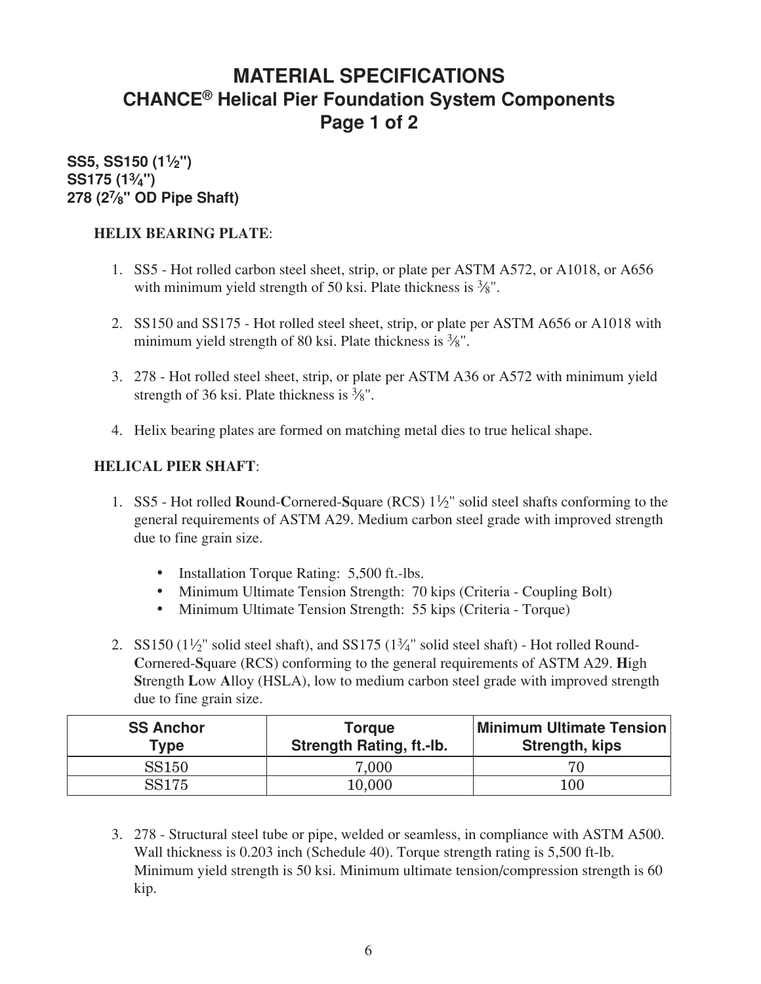# **MATERIAL SPECIFICATIONS CHANCE® Helical Pier Foundation System Components Page 1 of 2**

# **SS5, SS150 (11⁄2") SS175 (13⁄4") 278 (27⁄8" OD Pipe Shaft)**

# **HELIX BEARING PLATE**:

- 1. SS5 Hot rolled carbon steel sheet, strip, or plate per ASTM A572, or A1018, or A656 with minimum yield strength of 50 ksi. Plate thickness is  $\frac{3}{8}$ ".
- 2. SS150 and SS175 Hot rolled steel sheet, strip, or plate per ASTM A656 or A1018 with minimum yield strength of 80 ksi. Plate thickness is  $\frac{3}{8}$ ".
- 3. 278 Hot rolled steel sheet, strip, or plate per ASTM A36 or A572 with minimum yield strength of 36 ksi. Plate thickness is  $\frac{3}{8}$ ".
- 4. Helix bearing plates are formed on matching metal dies to true helical shape.

# **HELICAL PIER SHAFT**:

- 1. SS5 Hot rolled **R**ound-**C**ornered-**S**quare (RCS) 11⁄2" solid steel shafts conforming to the general requirements of ASTM A29. Medium carbon steel grade with improved strength due to fine grain size.
	- Installation Torque Rating: 5,500 ft.-lbs.
	- Minimum Ultimate Tension Strength: 70 kips (Criteria Coupling Bolt)
	- Minimum Ultimate Tension Strength: 55 kips (Criteria Torque)
- 2. SS150  $(1\frac{1}{2})$ " solid steel shaft), and SS175  $(1\frac{3}{4})$ " solid steel shaft) Hot rolled Round-**C**ornered-**S**quare (RCS) conforming to the general requirements of ASTM A29. **H**igh **S**trength **L**ow **A**lloy (HSLA), low to medium carbon steel grade with improved strength due to fine grain size.

| <b>SS Anchor</b><br>Type | Torque<br><b>Strength Rating, ft.-lb.</b> | <b>Minimum Ultimate Tension</b><br>Strength, kips |
|--------------------------|-------------------------------------------|---------------------------------------------------|
| <b>SS150</b>             | 7,000                                     |                                                   |
| <b>SS175</b>             | 10,000                                    | 100                                               |

3. 278 - Structural steel tube or pipe, welded or seamless, in compliance with ASTM A500. Wall thickness is 0.203 inch (Schedule 40). Torque strength rating is 5,500 ft-lb. Minimum yield strength is 50 ksi. Minimum ultimate tension/compression strength is 60 kip.